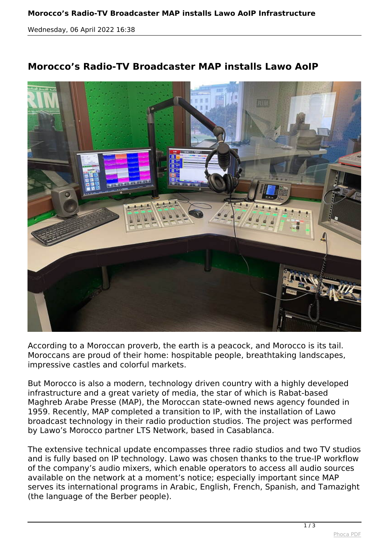*Wednesday, 06 April 2022 16:38*



## **Morocco's Radio-TV Broadcaster MAP installs Lawo AoIP**

*According to a Moroccan proverb, the earth is a peacock, and Morocco is its tail. Moroccans are proud of their home: hospitable people, breathtaking landscapes, impressive castles and colorful markets.*

*But Morocco is also a modern, technology driven country with a highly developed infrastructure and a great variety of media, the star of which is Rabat-based Maghreb Arabe Presse (MAP), the Moroccan state-owned news agency founded in 1959. Recently, MAP completed a transition to IP, with the installation of Lawo broadcast technology in their radio production studios. The project was performed by Lawo's Morocco partner LTS Network, based in Casablanca.*

*The extensive technical update encompasses three radio studios and two TV studios and is fully based on IP technology. Lawo was chosen thanks to the true-IP workflow of the company's audio mixers, which enable operators to access all audio sources available on the network at a moment's notice; especially important since MAP serves its international programs in Arabic, English, French, Spanish, and Tamazight (the language of the Berber people).*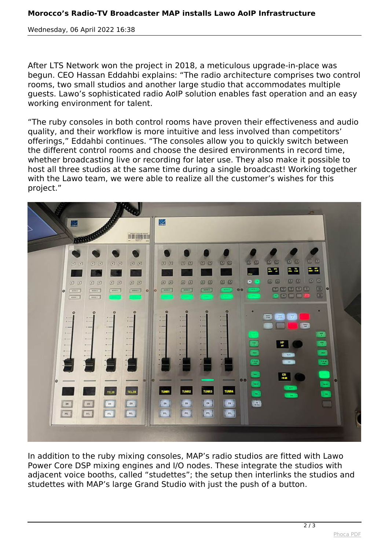*Wednesday, 06 April 2022 16:38*

*After LTS Network won the project in 2018, a meticulous upgrade-in-place was begun. CEO Hassan Eddahbi explains: "The radio architecture comprises two control rooms, two small studios and another large studio that accommodates multiple guests. Lawo's sophisticated radio AoIP solution enables fast operation and an easy working environment for talent.*

*"The ruby consoles in both control rooms have proven their effectiveness and audio quality, and their workflow is more intuitive and less involved than competitors' offerings," Eddahbi continues. "The consoles allow you to quickly switch between the different control rooms and choose the desired environments in record time, whether broadcasting live or recording for later use. They also make it possible to host all three studios at the same time during a single broadcast! Working together with the Lawo team, we were able to realize all the customer's wishes for this project."*



*In addition to the ruby mixing consoles, MAP's radio studios are fitted with Lawo Power Core DSP mixing engines and I/O nodes. These integrate the studios with adjacent voice booths, called "studettes"; the setup then interlinks the studios and studettes with MAP's large Grand Studio with just the push of a button.*